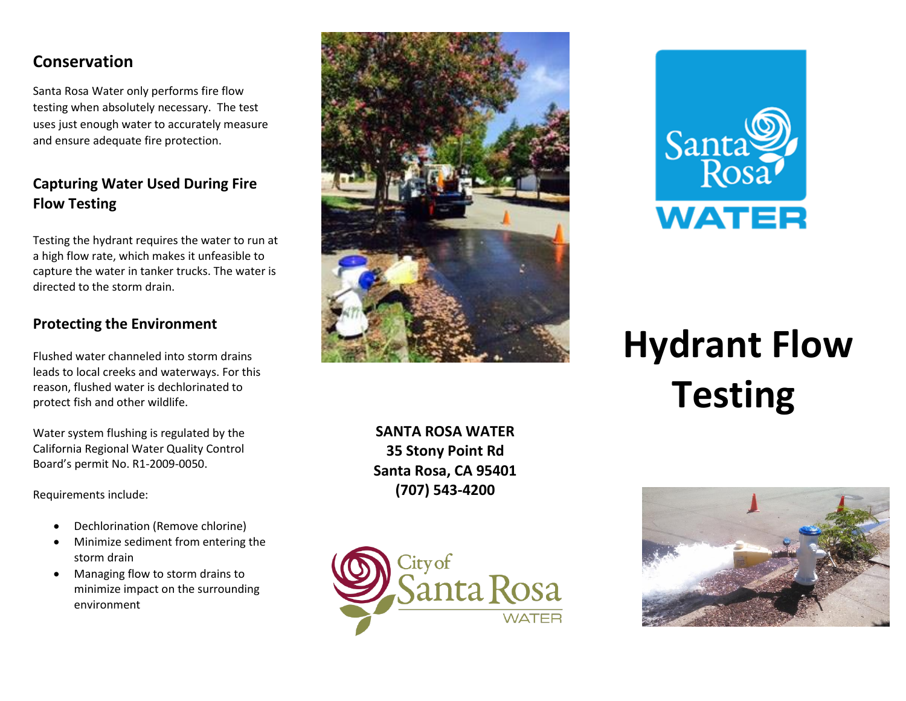# **Conservation**

Santa Rosa Water only performs fire flow testing when absolutely necessary. The test uses just enough water to accurately measure and ensure adequate fire protection.

## **Capturing Water Used During Fire Flow Testing**

Testing the hydrant requires the water to run at a high flow rate, which makes it unfeasible to capture the water in tanker trucks. The water is directed to the storm drain.

## **Protecting the Environment**

Flushed water channeled into storm drains leads to local creeks and waterways. For this reason, flushed water is dechlorinated to protect fish and other wildlife.

Water system flushing is regulated by the California Regional Water Quality Control Board's permit No. R1-2009-0050.

Requirements include:

- Dechlorination (Remove chlorine)
- Minimize sediment from entering the storm drain
- Managing flow to storm drains to minimize impact on the surrounding environment



**SANTA ROSA WATER 35 Stony Point Rd Santa Rosa, CA 95401 (707) 543-4200**





# **Hydrant Flow Testing**